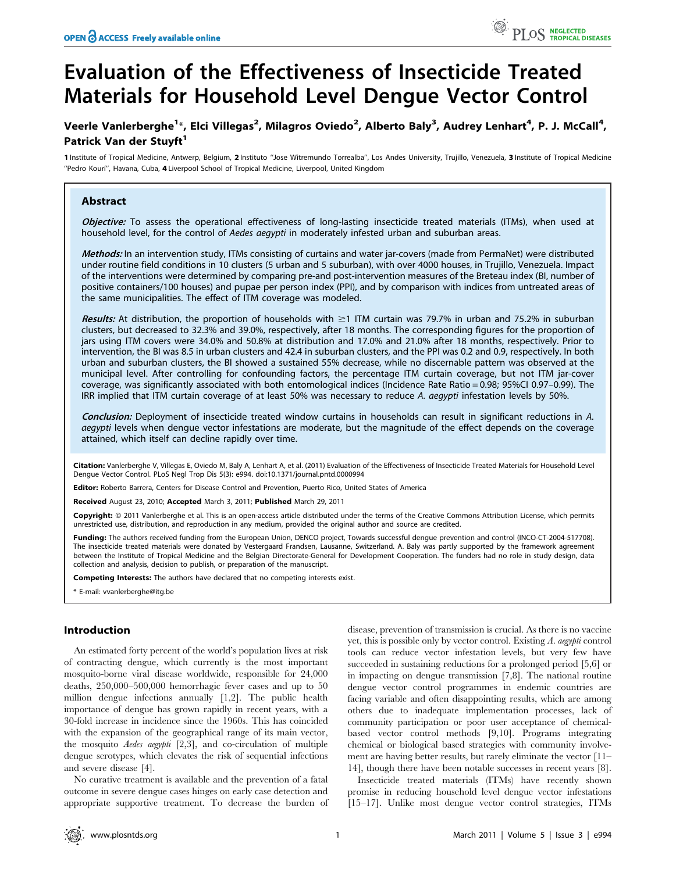# Evaluation of the Effectiveness of Insecticide Treated Materials for Household Level Dengue Vector Control

# Veerle Vanlerberghe $^{1*}$ , Elci Villegas $^2$ , Milagros Oviedo $^2$ , Alberto Baly $^3$ , Audrey Lenhart $^4$ , P. J. McCall $^4$ , Patrick Van der Stuvft<sup>1</sup>

1 Institute of Tropical Medicine, Antwerp, Belgium, 2 Instituto ''Jose Witremundo Torrealba'', Los Andes University, Trujillo, Venezuela, 3 Institute of Tropical Medicine "Pedro Kouri", Havana, Cuba, 4 Liverpool School of Tropical Medicine, Liverpool, United Kingdom

# Abstract

Objective: To assess the operational effectiveness of long-lasting insecticide treated materials (ITMs), when used at household level, for the control of Aedes aegypti in moderately infested urban and suburban areas.

Methods: In an intervention study, ITMs consisting of curtains and water jar-covers (made from PermaNet) were distributed under routine field conditions in 10 clusters (5 urban and 5 suburban), with over 4000 houses, in Trujillo, Venezuela. Impact of the interventions were determined by comparing pre-and post-intervention measures of the Breteau index (BI, number of positive containers/100 houses) and pupae per person index (PPI), and by comparison with indices from untreated areas of the same municipalities. The effect of ITM coverage was modeled.

Results: At distribution, the proportion of households with  $\geq$ 1 ITM curtain was 79.7% in urban and 75.2% in suburban clusters, but decreased to 32.3% and 39.0%, respectively, after 18 months. The corresponding figures for the proportion of jars using ITM covers were 34.0% and 50.8% at distribution and 17.0% and 21.0% after 18 months, respectively. Prior to intervention, the BI was 8.5 in urban clusters and 42.4 in suburban clusters, and the PPI was 0.2 and 0.9, respectively. In both urban and suburban clusters, the BI showed a sustained 55% decrease, while no discernable pattern was observed at the municipal level. After controlling for confounding factors, the percentage ITM curtain coverage, but not ITM jar-cover coverage, was significantly associated with both entomological indices (Incidence Rate Ratio = 0.98; 95%CI 0.97–0.99). The IRR implied that ITM curtain coverage of at least 50% was necessary to reduce A. aegypti infestation levels by 50%.

Conclusion: Deployment of insecticide treated window curtains in households can result in significant reductions in A. aegypti levels when dengue vector infestations are moderate, but the magnitude of the effect depends on the coverage attained, which itself can decline rapidly over time.

Citation: Vanlerberghe V, Villegas E, Oviedo M, Baly A, Lenhart A, et al. (2011) Evaluation of the Effectiveness of Insecticide Treated Materials for Household Level Dengue Vector Control. PLoS Negl Trop Dis 5(3): e994. doi:10.1371/journal.pntd.0000994

Editor: Roberto Barrera, Centers for Disease Control and Prevention, Puerto Rico, United States of America

Received August 23, 2010; Accepted March 3, 2011; Published March 29, 2011

Copyright: © 2011 Vanlerberghe et al. This is an open-access article distributed under the terms of the Creative Commons Attribution License, which permits unrestricted use, distribution, and reproduction in any medium, provided the original author and source are credited.

Funding: The authors received funding from the European Union, DENCO project, Towards successful dengue prevention and control (INCO-CT-2004-517708). The insecticide treated materials were donated by Vestergaard Frandsen, Lausanne, Switzerland. A. Baly was partly supported by the framework agreement between the Institute of Tropical Medicine and the Belgian Directorate-General for Development Cooperation. The funders had no role in study design, data collection and analysis, decision to publish, or preparation of the manuscript.

Competing Interests: The authors have declared that no competing interests exist.

\* E-mail: vvanlerberghe@itg.be

# Introduction

An estimated forty percent of the world's population lives at risk of contracting dengue, which currently is the most important mosquito-borne viral disease worldwide, responsible for 24,000 deaths, 250,000–500,000 hemorrhagic fever cases and up to 50 million dengue infections annually [1,2]. The public health importance of dengue has grown rapidly in recent years, with a 30-fold increase in incidence since the 1960s. This has coincided with the expansion of the geographical range of its main vector, the mosquito Aedes aegypti [2,3], and co-circulation of multiple dengue serotypes, which elevates the risk of sequential infections and severe disease [4].

No curative treatment is available and the prevention of a fatal outcome in severe dengue cases hinges on early case detection and appropriate supportive treatment. To decrease the burden of disease, prevention of transmission is crucial. As there is no vaccine yet, this is possible only by vector control. Existing A. aegypti control tools can reduce vector infestation levels, but very few have succeeded in sustaining reductions for a prolonged period [5,6] or in impacting on dengue transmission [7,8]. The national routine dengue vector control programmes in endemic countries are facing variable and often disappointing results, which are among others due to inadequate implementation processes, lack of community participation or poor user acceptance of chemicalbased vector control methods [9,10]. Programs integrating chemical or biological based strategies with community involvement are having better results, but rarely eliminate the vector [11– 14], though there have been notable successes in recent years [8].

Insecticide treated materials (ITMs) have recently shown promise in reducing household level dengue vector infestations [15–17]. Unlike most dengue vector control strategies, ITMs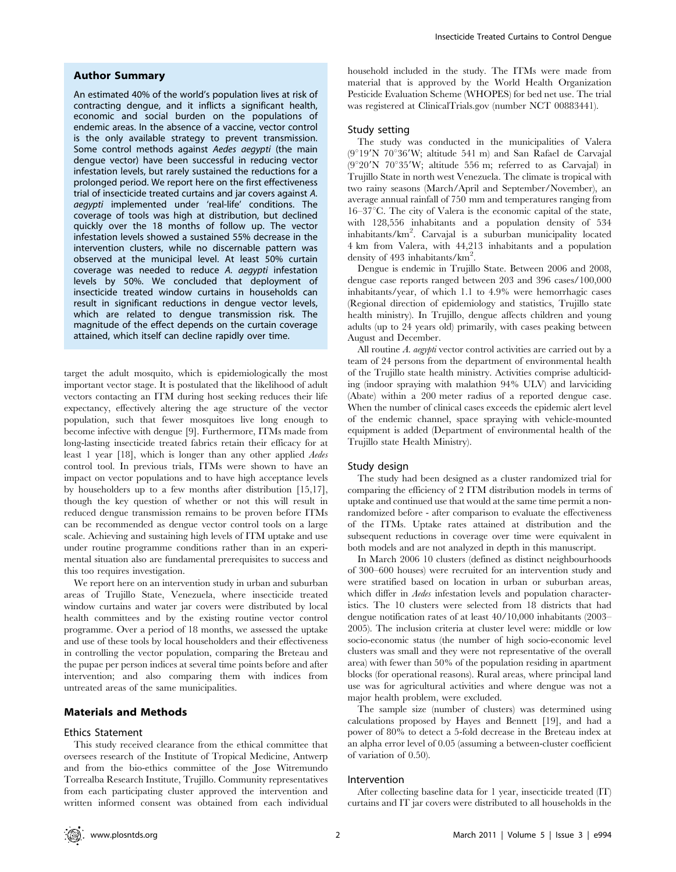#### Author Summary

An estimated 40% of the world's population lives at risk of contracting dengue, and it inflicts a significant health, economic and social burden on the populations of endemic areas. In the absence of a vaccine, vector control is the only available strategy to prevent transmission. Some control methods against Aedes aegypti (the main dengue vector) have been successful in reducing vector infestation levels, but rarely sustained the reductions for a prolonged period. We report here on the first effectiveness trial of insecticide treated curtains and jar covers against A. aegypti implemented under 'real-life' conditions. The coverage of tools was high at distribution, but declined quickly over the 18 months of follow up. The vector infestation levels showed a sustained 55% decrease in the intervention clusters, while no discernable pattern was observed at the municipal level. At least 50% curtain coverage was needed to reduce A. aegypti infestation levels by 50%. We concluded that deployment of insecticide treated window curtains in households can result in significant reductions in dengue vector levels, which are related to dengue transmission risk. The magnitude of the effect depends on the curtain coverage attained, which itself can decline rapidly over time.

target the adult mosquito, which is epidemiologically the most important vector stage. It is postulated that the likelihood of adult vectors contacting an ITM during host seeking reduces their life expectancy, effectively altering the age structure of the vector population, such that fewer mosquitoes live long enough to become infective with dengue [9]. Furthermore, ITMs made from long-lasting insecticide treated fabrics retain their efficacy for at least 1 year [18], which is longer than any other applied Aedes control tool. In previous trials, ITMs were shown to have an impact on vector populations and to have high acceptance levels by householders up to a few months after distribution [15,17], though the key question of whether or not this will result in reduced dengue transmission remains to be proven before ITMs can be recommended as dengue vector control tools on a large scale. Achieving and sustaining high levels of ITM uptake and use under routine programme conditions rather than in an experimental situation also are fundamental prerequisites to success and this too requires investigation.

We report here on an intervention study in urban and suburban areas of Trujillo State, Venezuela, where insecticide treated window curtains and water jar covers were distributed by local health committees and by the existing routine vector control programme. Over a period of 18 months, we assessed the uptake and use of these tools by local householders and their effectiveness in controlling the vector population, comparing the Breteau and the pupae per person indices at several time points before and after intervention; and also comparing them with indices from untreated areas of the same municipalities.

#### Materials and Methods

#### Ethics Statement

This study received clearance from the ethical committee that oversees research of the Institute of Tropical Medicine, Antwerp and from the bio-ethics committee of the Jose Witremundo Torrealba Research Institute, Trujillo. Community representatives from each participating cluster approved the intervention and written informed consent was obtained from each individual

household included in the study. The ITMs were made from material that is approved by the World Health Organization Pesticide Evaluation Scheme (WHOPES) for bed net use. The trial was registered at ClinicalTrials.gov (number NCT 00883441).

# Study setting

The study was conducted in the municipalities of Valera  $(9°19'N 70°36'W$ ; altitude 541 m) and San Rafael de Carvajal  $(9°20'N 70°35'W;$  altitude 556 m; referred to as Carvajal) in Trujillo State in north west Venezuela. The climate is tropical with two rainy seasons (March/April and September/November), an average annual rainfall of 750 mm and temperatures ranging from  $16-37^{\circ}$ C. The city of Valera is the economic capital of the state, with 128,556 inhabitants and a population density of 534 inhabitants/km<sup>2</sup> . Carvajal is a suburban municipality located 4 km from Valera, with 44,213 inhabitants and a population density of 493 inhabitants/km<sup>2</sup>.

Dengue is endemic in Trujillo State. Between 2006 and 2008, dengue case reports ranged between 203 and 396 cases/100,000 inhabitants/year, of which 1.1 to 4.9% were hemorrhagic cases (Regional direction of epidemiology and statistics, Trujillo state health ministry). In Trujillo, dengue affects children and young adults (up to 24 years old) primarily, with cases peaking between August and December.

All routine A. *aegypti* vector control activities are carried out by a team of 24 persons from the department of environmental health of the Trujillo state health ministry. Activities comprise adulticiding (indoor spraying with malathion 94% ULV) and larviciding (Abate) within a 200 meter radius of a reported dengue case. When the number of clinical cases exceeds the epidemic alert level of the endemic channel, space spraying with vehicle-mounted equipment is added (Department of environmental health of the Trujillo state Health Ministry).

#### Study design

The study had been designed as a cluster randomized trial for comparing the efficiency of 2 ITM distribution models in terms of uptake and continued use that would at the same time permit a nonrandomized before - after comparison to evaluate the effectiveness of the ITMs. Uptake rates attained at distribution and the subsequent reductions in coverage over time were equivalent in both models and are not analyzed in depth in this manuscript.

In March 2006 10 clusters (defined as distinct neighbourhoods of 300–600 houses) were recruited for an intervention study and were stratified based on location in urban or suburban areas, which differ in *Aedes* infestation levels and population characteristics. The 10 clusters were selected from 18 districts that had dengue notification rates of at least 40/10,000 inhabitants (2003– 2005). The inclusion criteria at cluster level were: middle or low socio-economic status (the number of high socio-economic level clusters was small and they were not representative of the overall area) with fewer than 50% of the population residing in apartment blocks (for operational reasons). Rural areas, where principal land use was for agricultural activities and where dengue was not a major health problem, were excluded.

The sample size (number of clusters) was determined using calculations proposed by Hayes and Bennett [19], and had a power of 80% to detect a 5-fold decrease in the Breteau index at an alpha error level of 0.05 (assuming a between-cluster coefficient of variation of 0.50).

## Intervention

After collecting baseline data for 1 year, insecticide treated (IT) curtains and IT jar covers were distributed to all households in the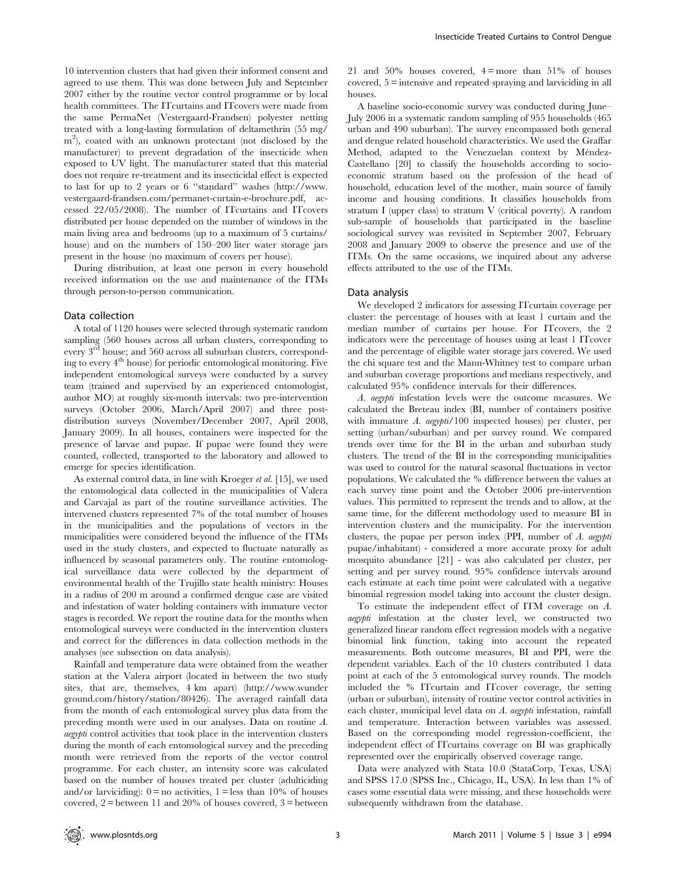10 intervention clusters that had given their informed consent and agreed to use them. This was done between July and September 2007 either by the routine vector control programme or by local health committees. The ITcurtains and ITcovers were made from the same PermaNet (Vestergaard-Frandsen) polyester netting treated with a long-lasting formulation of deltamethrin (55 mg/ m2 ), coated with an unknown protectant (not disclosed by the manufacturer) to prevent degradation of the insecticide when exposed to UV light. The manufacturer stated that this material does not require re-treatment and its insecticidal effect is expected to last for up to 2 years or 6 ''standard'' washes (http://www. vestergaard-frandsen.com/permanet-curtain-e-brochure.pdf, accessed 22/05/2008). The number of ITcurtains and ITcovers distributed per house depended on the number of windows in the main living area and bedrooms (up to a maximum of 5 curtains/ house) and on the numbers of 150–200 liter water storage jars present in the house (no maximum of covers per house).

During distribution, at least one person in every household received information on the use and maintenance of the ITMs through person-to-person communication.

#### Data collection

A total of 1120 houses were selected through systematic random sampling (560 houses across all urban clusters, corresponding to every 3rd house; and 560 across all suburban clusters, corresponding to every  $4<sup>th</sup>$  house) for periodic entomological monitoring. Five independent entomological surveys were conducted by a survey team (trained and supervised by an experienced entomologist, author MO) at roughly six-month intervals: two pre-intervention surveys (October 2006, March/April 2007) and three postdistribution surveys (November/December 2007, April 2008, January 2009). In all houses, containers were inspected for the presence of larvae and pupae. If pupae were found they were counted, collected, transported to the laboratory and allowed to emerge for species identification.

As external control data, in line with Kroeger et al. [15], we used the entomological data collected in the municipalities of Valera and Carvajal as part of the routine surveillance activities. The intervened clusters represented 7% of the total number of houses in the municipalities and the populations of vectors in the municipalities were considered beyond the influence of the ITMs used in the study clusters, and expected to fluctuate naturally as influenced by seasonal parameters only. The routine entomological surveillance data were collected by the department of environmental health of the Trujillo state health ministry: Houses in a radius of 200 m around a confirmed dengue case are visited and infestation of water holding containers with immature vector stages is recorded. We report the routine data for the months when entomological surveys were conducted in the intervention clusters and correct for the differences in data collection methods in the analyses (see subsection on data analysis).

Rainfall and temperature data were obtained from the weather station at the Valera airport (located in between the two study sites, that are, themselves, 4 km apart) (http://www.wunder ground.com/history/station/80426). The averaged rainfall data from the month of each entomological survey plus data from the preceding month were used in our analyses. Data on routine A. aegypti control activities that took place in the intervention clusters during the month of each entomological survey and the preceding month were retrieved from the reports of the vector control programme. For each cluster, an intensity score was calculated based on the number of houses treated per cluster (adulticiding and/or larviciding):  $0 = no$  activities,  $1 = less$  than 10% of houses covered,  $2$  = between 11 and 20% of houses covered,  $3$  = between 21 and 50% houses covered,  $4 = more than 51\%$  of houses covered, 5 = intensive and repeated spraying and larviciding in all houses.

A baseline socio-economic survey was conducted during June– July 2006 in a systematic random sampling of 955 households (465 urban and 490 suburban). The survey encompassed both general and dengue related household characteristics. We used the Graffar Method, adapted to the Venezuelan context by Méndez-Castellano [20] to classify the households according to socioeconomic stratum based on the profession of the head of household, education level of the mother, main source of family income and housing conditions. It classifies households from stratum I (upper class) to stratum V (critical poverty). A random sub-sample of households that participated in the baseline sociological survey was revisited in September 2007, February 2008 and January 2009 to observe the presence and use of the ITMs. On the same occasions, we inquired about any adverse effects attributed to the use of the ITMs.

#### Data analysis

We developed 2 indicators for assessing ITcurtain coverage per cluster: the percentage of houses with at least 1 curtain and the median number of curtains per house. For ITcovers, the 2 indicators were the percentage of houses using at least 1 ITcover and the percentage of eligible water storage jars covered. We used the chi square test and the Mann-Whitney test to compare urban and suburban coverage proportions and medians respectively, and calculated 95% confidence intervals for their differences.

A. aegypti infestation levels were the outcome measures. We calculated the Breteau index (BI, number of containers positive with immature A. aegypti/100 inspected houses) per cluster, per setting (urban/suburban) and per survey round. We compared trends over time for the BI in the urban and suburban study clusters. The trend of the BI in the corresponding municipalities was used to control for the natural seasonal fluctuations in vector populations. We calculated the % difference between the values at each survey time point and the October 2006 pre-intervention values. This permitted to represent the trends and to allow, at the same time, for the different methodology used to measure BI in intervention clusters and the municipality. For the intervention clusters, the pupae per person index (PPI, number of A. aegypti pupae/inhabitant) - considered a more accurate proxy for adult mosquito abundance [21] - was also calculated per cluster, per setting and per survey round. 95% confidence intervals around each estimate at each time point were calculated with a negative binomial regression model taking into account the cluster design.

To estimate the independent effect of ITM coverage on A. aegypti infestation at the cluster level, we constructed two generalized linear random effect regression models with a negative binomial link function, taking into account the repeated measurements. Both outcome measures, BI and PPI, were the dependent variables. Each of the 10 clusters contributed 1 data point at each of the 5 entomological survey rounds. The models included the % ITcurtain and ITcover coverage, the setting (urban or suburban), intensity of routine vector control activities in each cluster, municipal level data on A. aegypti infestation, rainfall and temperature. Interaction between variables was assessed. Based on the corresponding model regression-coefficient, the independent effect of ITcurtains coverage on BI was graphically represented over the empirically observed coverage range.

Data were analyzed with Stata 10.0 (StataCorp, Texas, USA) and SPSS 17.0 (SPSS Inc., Chicago, IL, USA). In less than 1% of cases some essential data were missing, and these households were subsequently withdrawn from the database.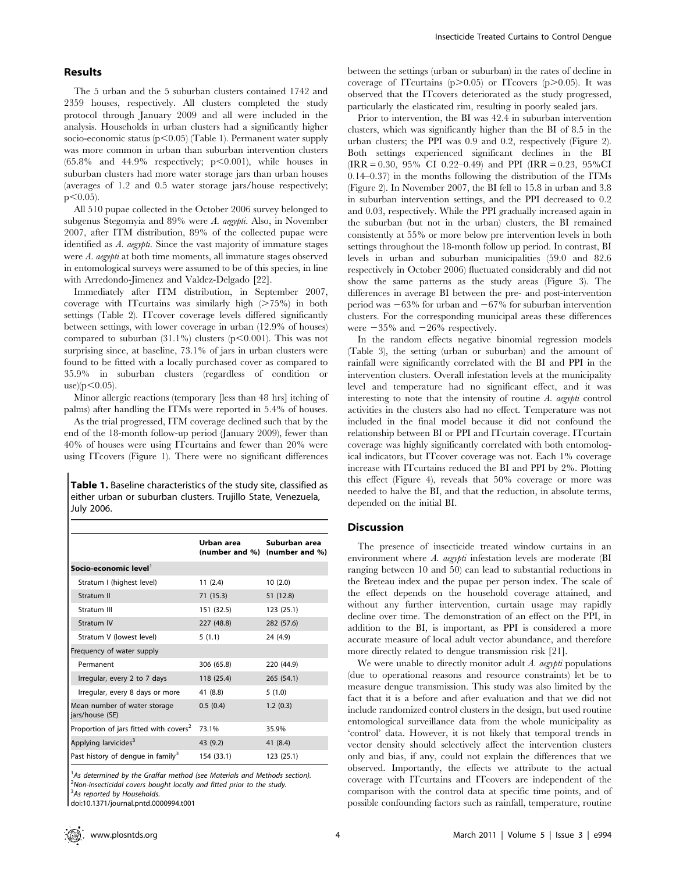# Results

The 5 urban and the 5 suburban clusters contained 1742 and 2359 houses, respectively. All clusters completed the study protocol through January 2009 and all were included in the analysis. Households in urban clusters had a significantly higher socio-economic status ( $p$ <0.05) (Table 1). Permanent water supply was more common in urban than suburban intervention clusters  $(65.8\%$  and  $44.9\%$  respectively;  $p<0.001$ ), while houses in suburban clusters had more water storage jars than urban houses (averages of 1.2 and 0.5 water storage jars/house respectively;  $p<0.05$ ).

All 510 pupae collected in the October 2006 survey belonged to subgenus Stegomyia and 89% were A. aegypti. Also, in November 2007, after ITM distribution, 89% of the collected pupae were identified as A. aegypti. Since the vast majority of immature stages were A. aegypti at both time moments, all immature stages observed in entomological surveys were assumed to be of this species, in line with Arredondo-Jimenez and Valdez-Delgado [22].

Immediately after ITM distribution, in September 2007, coverage with IT curtains was similarly high  $(275%)$  in both settings (Table 2). ITcover coverage levels differed significantly between settings, with lower coverage in urban (12.9% of houses) compared to suburban  $(31.1\%)$  clusters  $(p<0.001)$ . This was not surprising since, at baseline, 73.1% of jars in urban clusters were found to be fitted with a locally purchased cover as compared to 35.9% in suburban clusters (regardless of condition or  $use)(p<0.05)$ .

Minor allergic reactions (temporary [less than 48 hrs] itching of palms) after handling the ITMs were reported in 5.4% of houses.

As the trial progressed, ITM coverage declined such that by the end of the 18-month follow-up period (January 2009), fewer than 40% of houses were using ITcurtains and fewer than 20% were using ITcovers (Figure 1). There were no significant differences

Table 1. Baseline characteristics of the study site, classified as either urban or suburban clusters. Trujillo State, Venezuela, July 2006.

|                                                    | Urban area | Suburban area<br>(number and %) (number and %) |
|----------------------------------------------------|------------|------------------------------------------------|
| Socio-economic level $^1$                          |            |                                                |
| Stratum I (highest level)                          | 11(2.4)    | 10(2.0)                                        |
| Stratum II                                         | 71 (15.3)  | 51 (12.8)                                      |
| Stratum III                                        | 151 (32.5) | 123 (25.1)                                     |
| Stratum IV                                         | 227 (48.8) | 282 (57.6)                                     |
| Stratum V (lowest level)                           | 5(1.1)     | 24 (4.9)                                       |
| Frequency of water supply                          |            |                                                |
| Permanent                                          | 306 (65.8) | 220 (44.9)                                     |
| Irregular, every 2 to 7 days                       | 118 (25.4) | 265 (54.1)                                     |
| Irregular, every 8 days or more                    | 41 (8.8)   | 5(1.0)                                         |
| Mean number of water storage<br>jars/house (SE)    | 0.5(0.4)   | 1.2(0.3)                                       |
| Proportion of jars fitted with covers <sup>2</sup> | 73.1%      | 35.9%                                          |
| Applying larvicides <sup>3</sup>                   | 43 (9.2)   | 41 (8.4)                                       |
| Past history of dengue in family <sup>3</sup>      | 154 (33.1) | 123 (25.1)                                     |

<sup>1</sup>As determined by the Graffar method (see Materials and Methods section). <sup>2</sup>Non-insecticidal covers bought locally and fitted prior to the study. <sup>3</sup>As reported by Households.

doi:10.1371/journal.pntd.0000994.t001

between the settings (urban or suburban) in the rates of decline in coverage of ITcurtains ( $p$  $>$ 0.05) or ITcovers ( $p$  $>$ 0.05). It was observed that the ITcovers deteriorated as the study progressed, particularly the elasticated rim, resulting in poorly sealed jars.

Prior to intervention, the BI was 42.4 in suburban intervention clusters, which was significantly higher than the BI of 8.5 in the urban clusters; the PPI was 0.9 and 0.2, respectively (Figure 2). Both settings experienced significant declines in the BI  $(IRR = 0.30, 95\% CI 0.22–0.49)$  and PPI  $(IRR = 0.23, 95\% CI 0.22–0.49)$ 0.14–0.37) in the months following the distribution of the ITMs (Figure 2). In November 2007, the BI fell to 15.8 in urban and 3.8 in suburban intervention settings, and the PPI decreased to 0.2 and 0.03, respectively. While the PPI gradually increased again in the suburban (but not in the urban) clusters, the BI remained consistently at 55% or more below pre intervention levels in both settings throughout the 18-month follow up period. In contrast, BI levels in urban and suburban municipalities (59.0 and 82.6 respectively in October 2006) fluctuated considerably and did not show the same patterns as the study areas (Figure 3). The differences in average BI between the pre- and post-intervention period was  $-63\%$  for urban and  $-67\%$  for suburban intervention clusters. For the corresponding municipal areas these differences were  $-35\%$  and  $-26\%$  respectively.

In the random effects negative binomial regression models (Table 3), the setting (urban or suburban) and the amount of rainfall were significantly correlated with the BI and PPI in the intervention clusters. Overall infestation levels at the municipality level and temperature had no significant effect, and it was interesting to note that the intensity of routine  $A$ . aegypti control activities in the clusters also had no effect. Temperature was not included in the final model because it did not confound the relationship between BI or PPI and ITcurtain coverage. ITcurtain coverage was highly significantly correlated with both entomological indicators, but ITcover coverage was not. Each 1% coverage increase with ITcurtains reduced the BI and PPI by 2%. Plotting this effect (Figure 4), reveals that 50% coverage or more was needed to halve the BI, and that the reduction, in absolute terms, depended on the initial BI.

#### **Discussion**

The presence of insecticide treated window curtains in an environment where A. *aegypti* infestation levels are moderate (BI ranging between 10 and 50) can lead to substantial reductions in the Breteau index and the pupae per person index. The scale of the effect depends on the household coverage attained, and without any further intervention, curtain usage may rapidly decline over time. The demonstration of an effect on the PPI, in addition to the BI, is important, as PPI is considered a more accurate measure of local adult vector abundance, and therefore more directly related to dengue transmission risk [21].

We were unable to directly monitor adult  $A$ . aegypti populations (due to operational reasons and resource constraints) let be to measure dengue transmission. This study was also limited by the fact that it is a before and after evaluation and that we did not include randomized control clusters in the design, but used routine entomological surveillance data from the whole municipality as 'control' data. However, it is not likely that temporal trends in vector density should selectively affect the intervention clusters only and bias, if any, could not explain the differences that we observed. Importantly, the effects we attribute to the actual coverage with ITcurtains and ITcovers are independent of the comparison with the control data at specific time points, and of possible confounding factors such as rainfall, temperature, routine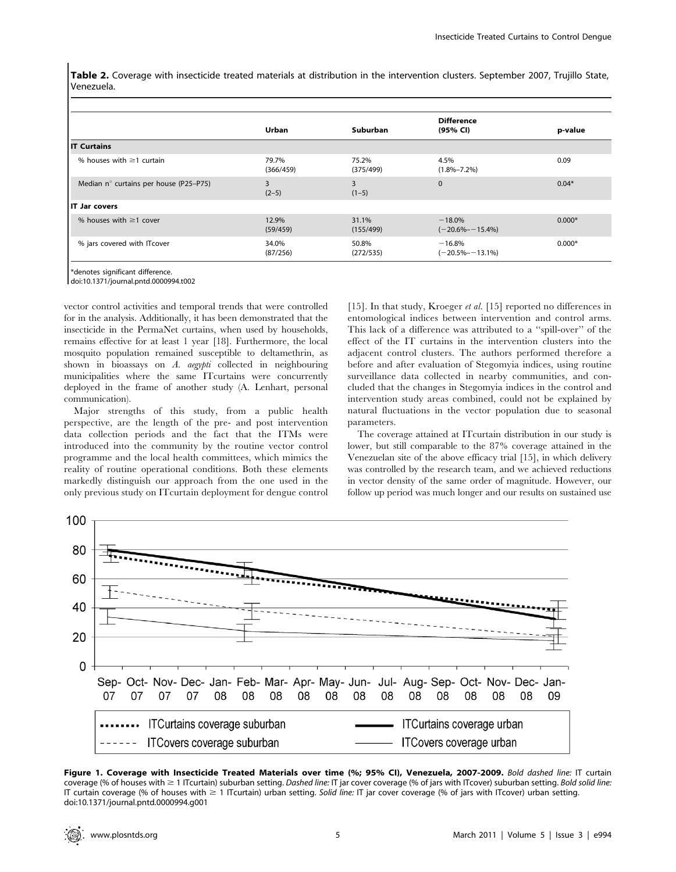Table 2. Coverage with insecticide treated materials at distribution in the intervention clusters. September 2007, Trujillo State, Venezuela.

|                                        | Urban              | Suburban           | <b>Difference</b><br>(95% CI)    | p-value  |
|----------------------------------------|--------------------|--------------------|----------------------------------|----------|
| <b>IT Curtains</b>                     |                    |                    |                                  |          |
| % houses with $\geq$ 1 curtain         | 79.7%<br>(366/459) | 75.2%<br>(375/499) | 4.5%<br>$(1.8\% - 7.2\%)$        | 0.09     |
| Median n° curtains per house (P25-P75) | 3<br>$(2-5)$       | 3<br>$(1-5)$       | $\mathbf{0}$                     | $0.04*$  |
| <b>IT Jar covers</b>                   |                    |                    |                                  |          |
| % houses with $\geq$ 1 cover           | 12.9%<br>(59/459)  | 31.1%<br>(155/499) | $-18.0%$<br>$(-20.6\% - 15.4\%)$ | $0.000*$ |
| % jars covered with ITcover            | 34.0%<br>(87/256)  | 50.8%<br>(272/535) | $-16.8%$<br>$(-20.5% - 13.1%)$   | $0.000*$ |

\*denotes significant difference.

doi:10.1371/journal.pntd.0000994.t002

vector control activities and temporal trends that were controlled for in the analysis. Additionally, it has been demonstrated that the insecticide in the PermaNet curtains, when used by households, remains effective for at least 1 year [18]. Furthermore, the local mosquito population remained susceptible to deltamethrin, as shown in bioassays on A. aegypti collected in neighbouring municipalities where the same ITcurtains were concurrently deployed in the frame of another study (A. Lenhart, personal communication).

Major strengths of this study, from a public health perspective, are the length of the pre- and post intervention data collection periods and the fact that the ITMs were introduced into the community by the routine vector control programme and the local health committees, which mimics the reality of routine operational conditions. Both these elements markedly distinguish our approach from the one used in the only previous study on ITcurtain deployment for dengue control [15]. In that study, Kroeger et al. [15] reported no differences in entomological indices between intervention and control arms. This lack of a difference was attributed to a ''spill-over'' of the effect of the IT curtains in the intervention clusters into the adjacent control clusters. The authors performed therefore a before and after evaluation of Stegomyia indices, using routine surveillance data collected in nearby communities, and concluded that the changes in Stegomyia indices in the control and intervention study areas combined, could not be explained by natural fluctuations in the vector population due to seasonal parameters.

The coverage attained at ITcurtain distribution in our study is lower, but still comparable to the 87% coverage attained in the Venezuelan site of the above efficacy trial [15], in which delivery was controlled by the research team, and we achieved reductions in vector density of the same order of magnitude. However, our follow up period was much longer and our results on sustained use



Figure 1. Coverage with Insecticide Treated Materials over time (%; 95% CI), Venezuela, 2007-2009. Bold dashed line: IT curtain coverage (% of houses with  $\geq 1$  ITcurtain) suburban setting. Dashed line: IT jar cover coverage (% of jars with ITcover) suburban setting. Bold solid line: IT curtain coverage (% of houses with  $\geq 1$  ITcurtain) urban setting. Solid line: IT jar cover coverage (% of jars with ITcover) urban setting. doi:10.1371/journal.pntd.0000994.g001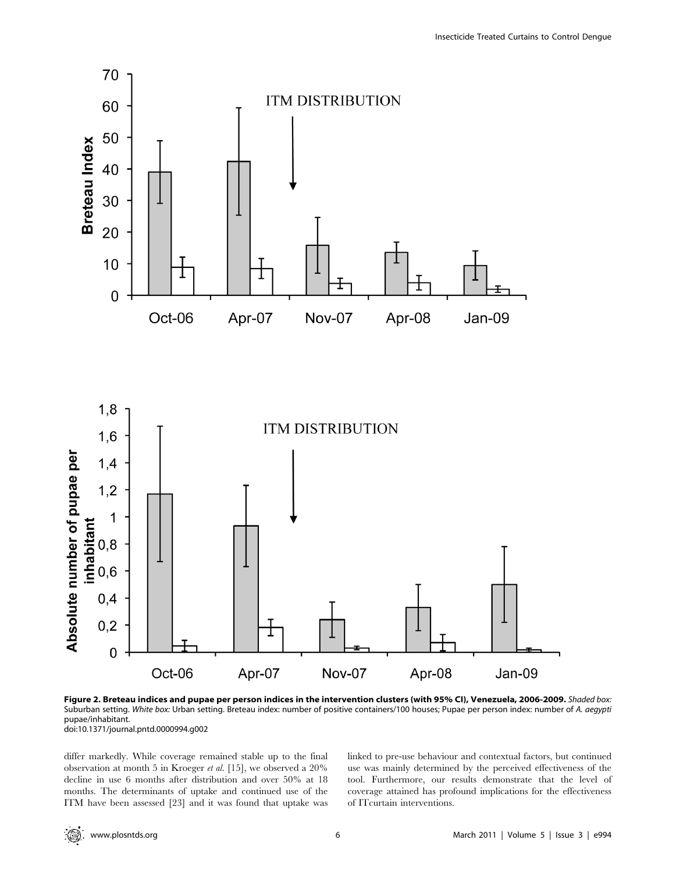

Figure 2. Breteau indices and pupae per person indices in the intervention clusters (with 95% CI), Venezuela, 2006-2009. Shaded box: Suburban setting. White box: Urban setting. Breteau index: number of positive containers/100 houses; Pupae per person index: number of A. aegypti pupae/inhabitant.

doi:10.1371/journal.pntd.0000994.g002

differ markedly. While coverage remained stable up to the final observation at month 5 in Kroeger et al. [15], we observed a 20% decline in use 6 months after distribution and over 50% at 18 months. The determinants of uptake and continued use of the ITM have been assessed [23] and it was found that uptake was linked to pre-use behaviour and contextual factors, but continued use was mainly determined by the perceived effectiveness of the tool. Furthermore, our results demonstrate that the level of coverage attained has profound implications for the effectiveness of ITcurtain interventions.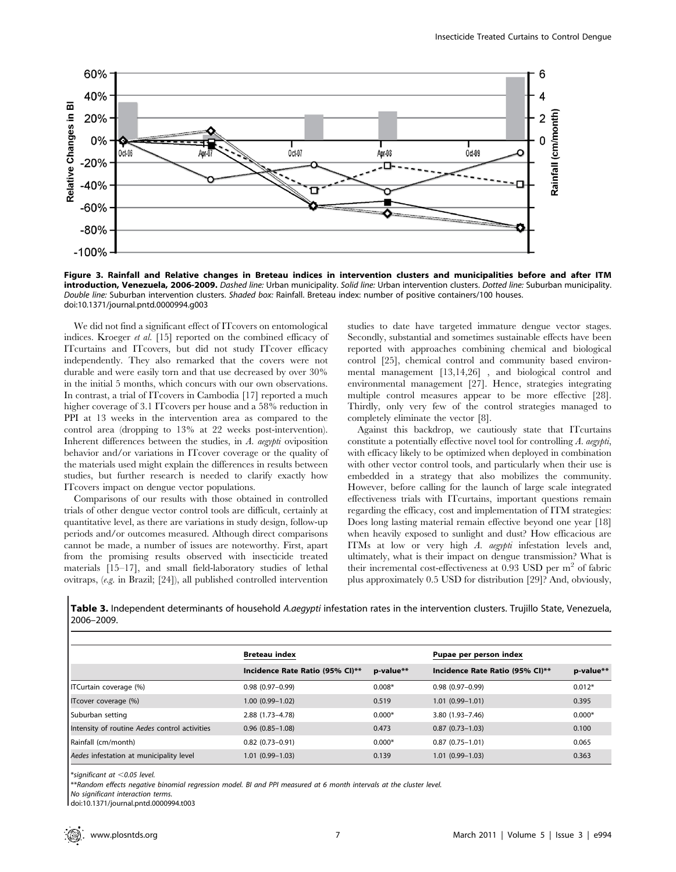

Figure 3. Rainfall and Relative changes in Breteau indices in intervention clusters and municipalities before and after ITM introduction, Venezuela, 2006-2009. Dashed line: Urban municipality. Solid line: Urban intervention clusters. Dotted line: Suburban municipality. Double line: Suburban intervention clusters. Shaded box: Rainfall. Breteau index: number of positive containers/100 houses. doi:10.1371/journal.pntd.0000994.g003

We did not find a significant effect of ITcovers on entomological indices. Kroeger et al. [15] reported on the combined efficacy of ITcurtains and ITcovers, but did not study ITcover efficacy independently. They also remarked that the covers were not durable and were easily torn and that use decreased by over 30% in the initial 5 months, which concurs with our own observations. In contrast, a trial of ITcovers in Cambodia [17] reported a much higher coverage of 3.1 ITcovers per house and a 58% reduction in PPI at 13 weeks in the intervention area as compared to the control area (dropping to 13% at 22 weeks post-intervention). Inherent differences between the studies, in A. aegypti oviposition behavior and/or variations in ITcover coverage or the quality of the materials used might explain the differences in results between studies, but further research is needed to clarify exactly how ITcovers impact on dengue vector populations.

Comparisons of our results with those obtained in controlled trials of other dengue vector control tools are difficult, certainly at quantitative level, as there are variations in study design, follow-up periods and/or outcomes measured. Although direct comparisons cannot be made, a number of issues are noteworthy. First, apart from the promising results observed with insecticide treated materials [15–17], and small field-laboratory studies of lethal ovitraps, (e.g. in Brazil; [24]), all published controlled intervention studies to date have targeted immature dengue vector stages. Secondly, substantial and sometimes sustainable effects have been reported with approaches combining chemical and biological control [25], chemical control and community based environmental management [13,14,26] , and biological control and environmental management [27]. Hence, strategies integrating multiple control measures appear to be more effective [28]. Thirdly, only very few of the control strategies managed to completely eliminate the vector [8].

Against this backdrop, we cautiously state that ITcurtains constitute a potentially effective novel tool for controlling A. aegypti, with efficacy likely to be optimized when deployed in combination with other vector control tools, and particularly when their use is embedded in a strategy that also mobilizes the community. However, before calling for the launch of large scale integrated effectiveness trials with ITcurtains, important questions remain regarding the efficacy, cost and implementation of ITM strategies: Does long lasting material remain effective beyond one year [18] when heavily exposed to sunlight and dust? How efficacious are ITMs at low or very high A. aegypti infestation levels and, ultimately, what is their impact on dengue transmission? What is their incremental cost-effectiveness at  $0.93$  USD per m<sup>2</sup> of fabric plus approximately 0.5 USD for distribution [29]? And, obviously,

Table 3. Independent determinants of household A.aegypti infestation rates in the intervention clusters. Trujillo State, Venezuela, 2006–2009.

|                                               | <b>Breteau index</b>            |           | Pupae per person index          |           |  |
|-----------------------------------------------|---------------------------------|-----------|---------------------------------|-----------|--|
|                                               | Incidence Rate Ratio (95% CI)** | p-value** | Incidence Rate Ratio (95% CI)** | p-value** |  |
| ITCurtain coverage (%)                        | $0.98(0.97-0.99)$               | $0.008*$  | $0.98(0.97-0.99)$               | $0.012*$  |  |
| ITcover coverage (%)                          | $1.00(0.99 - 1.02)$             | 0.519     | $1.01(0.99 - 1.01)$             | 0.395     |  |
| Suburban setting                              | 2.88 (1.73-4.78)                | $0.000*$  | $3.80(1.93 - 7.46)$             | $0.000*$  |  |
| Intensity of routine Aedes control activities | $0.96(0.85 - 1.08)$             | 0.473     | $0.87(0.73 - 1.03)$             | 0.100     |  |
| Rainfall (cm/month)                           | $0.82$ (0.73-0.91)              | $0.000*$  | $0.87(0.75 - 1.01)$             | 0.065     |  |
| Aedes infestation at municipality level       | $1.01(0.99 - 1.03)$             | 0.139     | $1.01(0.99 - 1.03)$             | 0.363     |  |

 $*$ significant at  $<$ 0.05 level.

\*\*Random effects negative binomial regression model. BI and PPI measured at 6 month intervals at the cluster level.

No significant interaction terms.

doi:10.1371/journal.pntd.0000994.t003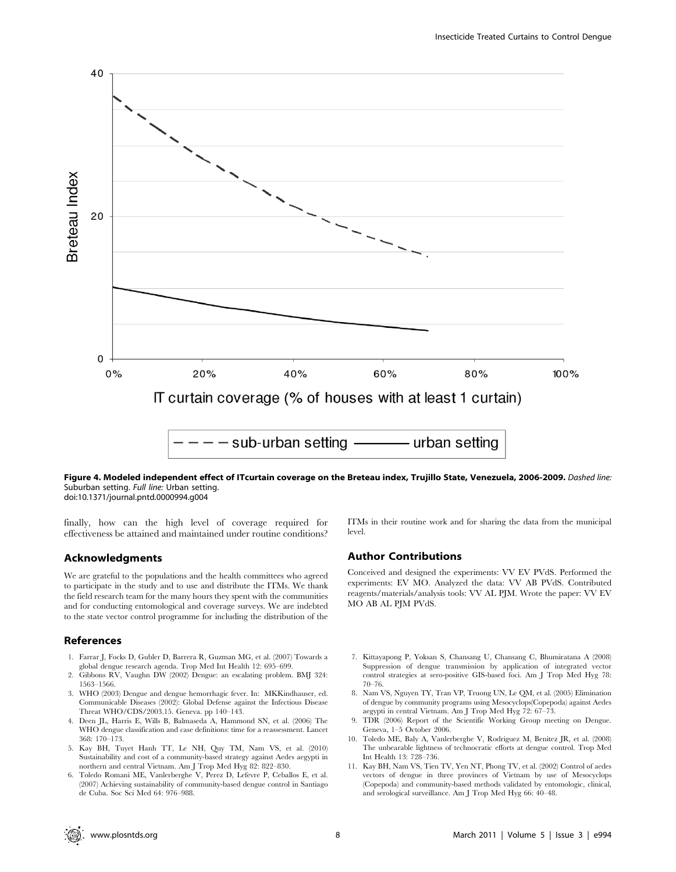

Figure 4. Modeled independent effect of ITcurtain coverage on the Breteau index, Trujillo State, Venezuela, 2006-2009. Dashed line: Suburban setting. Full line: Urban setting. doi:10.1371/journal.pntd.0000994.g004

finally, how can the high level of coverage required for effectiveness be attained and maintained under routine conditions?

# Acknowledgments

We are grateful to the populations and the health committees who agreed to participate in the study and to use and distribute the ITMs. We thank the field research team for the many hours they spent with the communities and for conducting entomological and coverage surveys. We are indebted to the state vector control programme for including the distribution of the

#### References

- 1. Farrar J, Focks D, Gubler D, Barrera R, Guzman MG, et al. (2007) Towards a global dengue research agenda. Trop Med Int Health 12: 695–699.
- 2. Gibbons RV, Vaughn DW (2002) Dengue: an escalating problem. BMJ 324: 1563–1566.
- 3. WHO (2003) Dengue and dengue hemorrhagic fever. In: MKKindhauser, ed. Communicable Diseases (2002): Global Defense against the Infectious Disease Threat WHO/CDS/2003.15. Geneva. pp 140–143.
- 4. Deen JL, Harris E, Wills B, Balmaseda A, Hammond SN, et al. (2006) The WHO dengue classification and case definitions: time for a reassessment. Lancet 368: 170–173.
- 5. Kay BH, Tuyet Hanh TT, Le NH, Quy TM, Nam VS, et al. (2010) Sustainability and cost of a community-based strategy against Aedes aegypti in northern and central Vietnam. Am J Trop Med Hyg 82: 822–830.
- 6. Toledo Romani ME, Vanlerberghe V, Perez D, Lefevre P, Ceballos E, et al. (2007) Achieving sustainability of community-based dengue control in Santiago de Cuba. Soc Sci Med 64: 976–988.

ITMs in their routine work and for sharing the data from the municipal level.

### Author Contributions

Conceived and designed the experiments: VV EV PVdS. Performed the experiments: EV MO. Analyzed the data: VV AB PVdS. Contributed reagents/materials/analysis tools: VV AL PJM. Wrote the paper: VV EV MO AB AL PJM PVdS.

- 7. Kittayapong P, Yoksan S, Chansang U, Chansang C, Bhumiratana A (2008) Suppression of dengue transmission by application of integrated vector control strategies at sero-positive GIS-based foci. Am J Trop Med Hyg 78: 70–76.
- 8. Nam VS, Nguyen TY, Tran VP, Truong UN, Le QM, et al. (2005) Elimination of dengue by community programs using Mesocyclops(Copepoda) against Aedes aegypti in central Vietnam. Am J Trop Med Hyg 72: 67–73.
- 9. TDR (2006) Report of the Scientific Working Group meeting on Dengue. Geneva, 1–5 October 2006.
- 10. Toledo ME, Baly A, Vanlerberghe V, Rodriguez M, Benitez JR, et al. (2008) The unbearable lightness of technocratic efforts at dengue control. Trop Med Int Health 13: 728–736.
- 11. Kay BH, Nam VS, Tien TV, Yen NT, Phong TV, et al. (2002) Control of aedes vectors of dengue in three provinces of Vietnam by use of Mesocyclops (Copepoda) and community-based methods validated by entomologic, clinical, and serological surveillance. Am J Trop Med Hyg 66: 40–48.